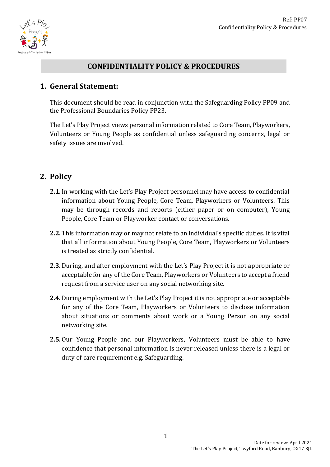

## **CONFIDENTIALITY POLICY & PROCEDURES**

### **1. General Statement:**

This document should be read in conjunction with the Safeguarding Policy PP09 and the Professional Boundaries Policy PP23.

The Let's Play Project views personal information related to Core Team, Playworkers, Volunteers or Young People as confidential unless safeguarding concerns, legal or safety issues are involved.

### **2. Policy**

- **2.1.** In working with the Let's Play Project personnel may have access to confidential information about Young People, Core Team, Playworkers or Volunteers. This may be through records and reports (either paper or on computer), Young People, Core Team or Playworker contact or conversations.
- **2.2.** This information may or may not relate to an individual's specific duties. It is vital that all information about Young People, Core Team, Playworkers or Volunteers is treated as strictly confidential.
- **2.3.**During, and after employment with the Let's Play Project it is not appropriate or acceptable for any of the Core Team, Playworkers or Volunteers to accept a friend request from a service user on any social networking site.
- **2.4.**During employment with the Let's Play Project it is not appropriate or acceptable for any of the Core Team, Playworkers or Volunteers to disclose information about situations or comments about work or a Young Person on any social networking site.
- **2.5.** Our Young People and our Playworkers, Volunteers must be able to have confidence that personal information is never released unless there is a legal or duty of care requirement e.g. Safeguarding.